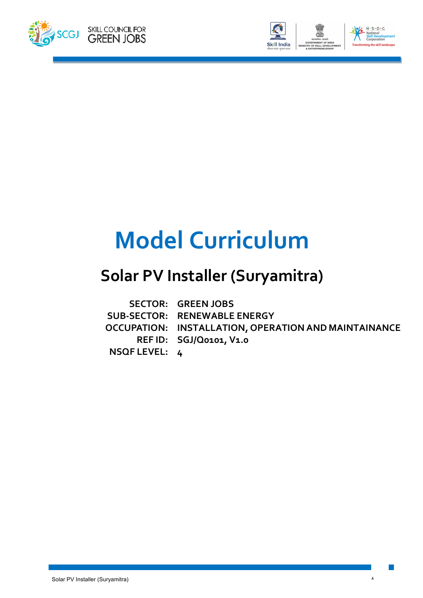



# **Model Curriculum**

## **Solar PV Installer (Suryamitra)**

|               | <b>SECTOR: GREEN JOBS</b>                            |
|---------------|------------------------------------------------------|
|               | SUB-SECTOR: RENEWABLE ENERGY                         |
|               | OCCUPATION: INSTALLATION, OPERATION AND MAINTAINANCE |
|               | REF ID: SGJ/Q0101, V1.0                              |
| NSQF LEVEL: 4 |                                                      |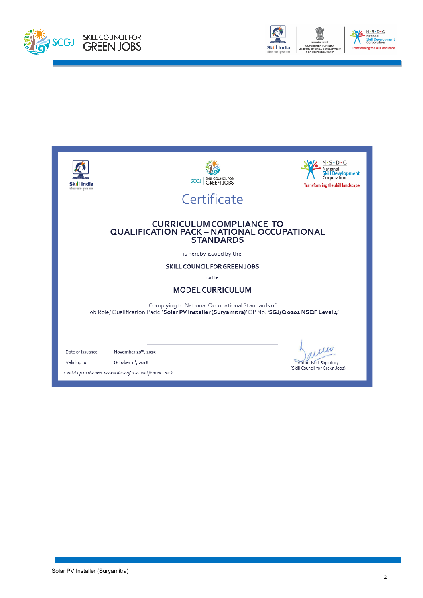



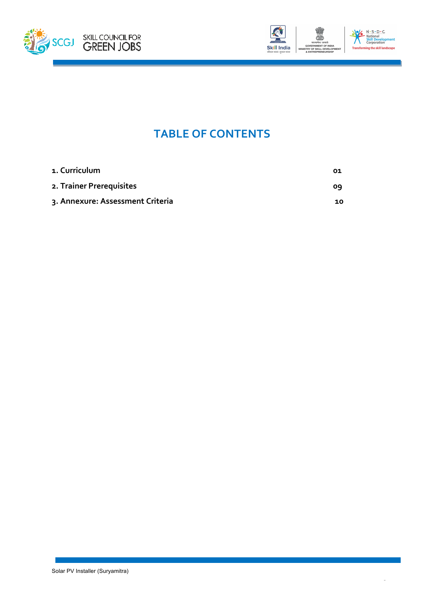



### **TABLE OF CONTENTS**

| 1. Curriculum                    | 01 |
|----------------------------------|----|
| 2. Trainer Prerequisites         | 09 |
| 3. Annexure: Assessment Criteria | 10 |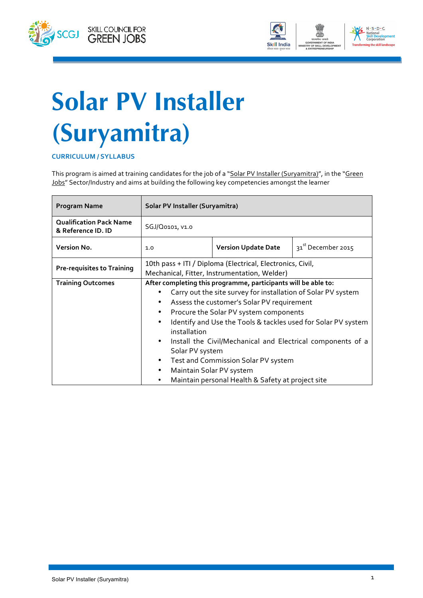



# **Solar PV Installer (Suryamitra)**

#### **CURRICULUM / SYLLABUS**

This program is aimed at training candidates for the job of a "Solar PV Installer (Suryamitra)", in the "Green Jobs" Sector/Industry and aims at building the following key competencies amongst the learner

| <b>Program Name</b>                                  | Solar PV Installer (Suryamitra)                                                                            |                                                               |                                |
|------------------------------------------------------|------------------------------------------------------------------------------------------------------------|---------------------------------------------------------------|--------------------------------|
| <b>Qualification Pack Name</b><br>& Reference ID. ID | SGJ/Q0101, V1.0                                                                                            |                                                               |                                |
| <b>Version No.</b>                                   | 1.0                                                                                                        | <b>Version Update Date</b>                                    | 31 <sup>st</sup> December 2015 |
| <b>Pre-requisites to Training</b>                    | 10th pass + ITI / Diploma (Electrical, Electronics, Civil,<br>Mechanical, Fitter, Instrumentation, Welder) |                                                               |                                |
| <b>Training Outcomes</b>                             | After completing this programme, participants will be able to:                                             |                                                               |                                |
|                                                      |                                                                                                            | Carry out the site survey for installation of Solar PV system |                                |
|                                                      | Assess the customer's Solar PV requirement<br>٠                                                            |                                                               |                                |
|                                                      | Procure the Solar PV system components                                                                     |                                                               |                                |
|                                                      | Identify and Use the Tools & tackles used for Solar PV system<br>installation                              |                                                               |                                |
|                                                      | $\bullet$                                                                                                  | Install the Civil/Mechanical and Electrical components of a   |                                |
|                                                      | Solar PV system                                                                                            |                                                               |                                |
|                                                      |                                                                                                            | Test and Commission Solar PV system                           |                                |
|                                                      | Maintain Solar PV system                                                                                   |                                                               |                                |
|                                                      |                                                                                                            | Maintain personal Health & Safety at project site             |                                |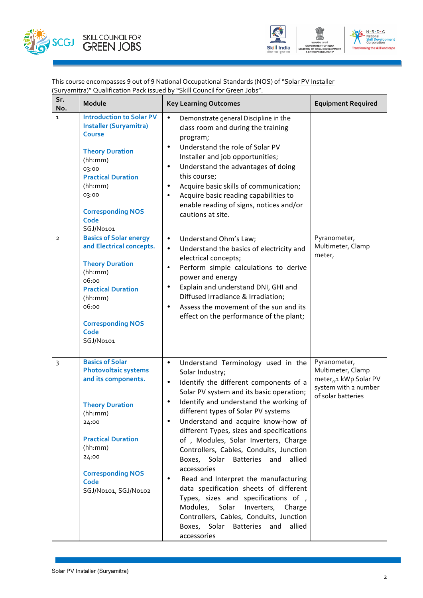



This course encompasses <u>9</u> out of <u>9</u> National Occupational Standards (NOS) of "<u>Solar PV Installer</u> <u>(Suryamitra)</u>" Qualification Pack issued by "<u>Skill Council for Green Jobs</u>".

| Sr.<br>No.   | Module                                                                                                                                                                                                                                  | <b>Key Learning Outcomes</b>                                                                                                                                                                                                                                                                                                                                                                                                                                                                                                                                                                                                                                                                                                                                                                               | <b>Equipment Required</b>                                                                                           |
|--------------|-----------------------------------------------------------------------------------------------------------------------------------------------------------------------------------------------------------------------------------------|------------------------------------------------------------------------------------------------------------------------------------------------------------------------------------------------------------------------------------------------------------------------------------------------------------------------------------------------------------------------------------------------------------------------------------------------------------------------------------------------------------------------------------------------------------------------------------------------------------------------------------------------------------------------------------------------------------------------------------------------------------------------------------------------------------|---------------------------------------------------------------------------------------------------------------------|
| $\mathbf{1}$ | <b>Introduction to Solar PV</b><br><b>Installer (Suryamitra)</b><br><b>Course</b><br><b>Theory Duration</b><br>(hh:mm)<br>03:00<br><b>Practical Duration</b><br>(hh:mm)<br>03:00<br><b>Corresponding NOS</b><br>Code<br>SGJ/No101       | Demonstrate general Discipline in the<br>$\bullet$<br>class room and during the training<br>program;<br>Understand the role of Solar PV<br>$\bullet$<br>Installer and job opportunities;<br>Understand the advantages of doing<br>$\bullet$<br>this course;<br>Acquire basic skills of communication;<br>$\bullet$<br>Acquire basic reading capabilities to<br>$\bullet$<br>enable reading of signs, notices and/or<br>cautions at site.                                                                                                                                                                                                                                                                                                                                                                   |                                                                                                                     |
| $\mathbf{2}$ | <b>Basics of Solar energy</b><br>and Electrical concepts.<br><b>Theory Duration</b><br>(hh:mm)<br>06:00<br><b>Practical Duration</b><br>(hh:mm)<br>06:00<br><b>Corresponding NOS</b><br>Code<br>SGJ/No101                               | Understand Ohm's Law;<br>$\bullet$<br>Understand the basics of electricity and<br>$\bullet$<br>electrical concepts;<br>Perform simple calculations to derive<br>$\bullet$<br>power and energy<br>Explain and understand DNI, GHI and<br>$\bullet$<br>Diffused Irradiance & Irradiation;<br>Assess the movement of the sun and its<br>$\bullet$<br>effect on the performance of the plant;                                                                                                                                                                                                                                                                                                                                                                                                                  | Pyranometer,<br>Multimeter, Clamp<br>meter,                                                                         |
| 3            | <b>Basics of Solar</b><br><b>Photovoltaic systems</b><br>and its components.<br><b>Theory Duration</b><br>(hh:mm)<br>24:00<br><b>Practical Duration</b><br>(hh:mm)<br>24:00<br><b>Corresponding NOS</b><br>Code<br>SGJ/No101, SGJ/No102 | Understand Terminology used in the<br>$\bullet$<br>Solar Industry;<br>Identify the different components of a<br>$\bullet$<br>Solar PV system and its basic operation;<br>Identify and understand the working of<br>$\bullet$<br>different types of Solar PV systems<br>Understand and acquire know-how of<br>$\bullet$<br>different Types, sizes and specifications<br>of, Modules, Solar Inverters, Charge<br>Controllers, Cables, Conduits, Junction<br>Boxes, Solar Batteries<br>allied<br>and<br>accessories<br>Read and Interpret the manufacturing<br>٠<br>data specification sheets of different<br>Types, sizes and specifications of,<br>Modules,<br>Solar<br>Inverters,<br>Charge<br>Controllers, Cables, Conduits, Junction<br>Boxes, Solar<br><b>Batteries</b><br>and<br>allied<br>accessories | Pyranometer,<br>Multimeter, Clamp<br>meter <sub>11</sub> kWp Solar PV<br>system with 2 number<br>of solar batteries |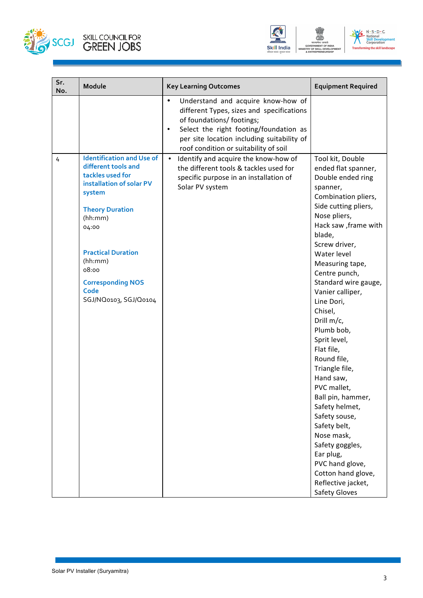





| Sr.<br>No. | Module                                                                                                                                                                                                                                                                        | <b>Key Learning Outcomes</b>                                                                                                                                                                                                                                            | <b>Equipment Required</b>                                                                                                                                                                                                                                                                                                                                                                                                                                                                                                                                                                                                                               |
|------------|-------------------------------------------------------------------------------------------------------------------------------------------------------------------------------------------------------------------------------------------------------------------------------|-------------------------------------------------------------------------------------------------------------------------------------------------------------------------------------------------------------------------------------------------------------------------|---------------------------------------------------------------------------------------------------------------------------------------------------------------------------------------------------------------------------------------------------------------------------------------------------------------------------------------------------------------------------------------------------------------------------------------------------------------------------------------------------------------------------------------------------------------------------------------------------------------------------------------------------------|
|            |                                                                                                                                                                                                                                                                               | Understand and acquire know-how of<br>$\bullet$<br>different Types, sizes and specifications<br>of foundations/ footings;<br>Select the right footing/foundation as<br>$\bullet$<br>per site location including suitability of<br>roof condition or suitability of soil |                                                                                                                                                                                                                                                                                                                                                                                                                                                                                                                                                                                                                                                         |
| 4          | <b>Identification and Use of</b><br>different tools and<br>tackles used for<br>installation of solar PV<br>system<br><b>Theory Duration</b><br>(hh:mm)<br>04:00<br><b>Practical Duration</b><br>(hh:mm)<br>08:00<br><b>Corresponding NOS</b><br>Code<br>SGJ/NQ0103, SGJ/Q0104 | Identify and acquire the know-how of<br>$\bullet$<br>the different tools & tackles used for<br>specific purpose in an installation of<br>Solar PV system                                                                                                                | Tool kit, Double<br>ended flat spanner,<br>Double ended ring<br>spanner,<br>Combination pliers,<br>Side cutting pliers,<br>Nose pliers,<br>Hack saw , frame with<br>blade,<br>Screw driver,<br>Water level<br>Measuring tape,<br>Centre punch,<br>Standard wire gauge,<br>Vanier calliper,<br>Line Dori,<br>Chisel,<br>Drill m/c,<br>Plumb bob,<br>Sprit level,<br>Flat file,<br>Round file,<br>Triangle file,<br>Hand saw,<br>PVC mallet,<br>Ball pin, hammer,<br>Safety helmet,<br>Safety souse,<br>Safety belt,<br>Nose mask,<br>Safety goggles,<br>Ear plug,<br>PVC hand glove,<br>Cotton hand glove,<br>Reflective jacket,<br><b>Safety Gloves</b> |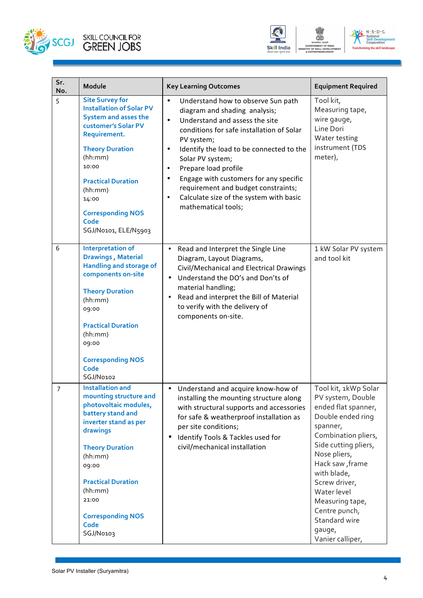





| Sr.<br>No.     | Module                                                                                                                                                                                                                                                                                     | <b>Key Learning Outcomes</b>                                                                                                                                                                                                                                                                                                                                                                                                                                                              | <b>Equipment Required</b>                                                                                                                                                                                                                                                                                             |
|----------------|--------------------------------------------------------------------------------------------------------------------------------------------------------------------------------------------------------------------------------------------------------------------------------------------|-------------------------------------------------------------------------------------------------------------------------------------------------------------------------------------------------------------------------------------------------------------------------------------------------------------------------------------------------------------------------------------------------------------------------------------------------------------------------------------------|-----------------------------------------------------------------------------------------------------------------------------------------------------------------------------------------------------------------------------------------------------------------------------------------------------------------------|
| 5              | <b>Site Survey for</b><br><b>Installation of Solar PV</b><br><b>System and asses the</b><br>customer's Solar PV<br>Requirement.<br><b>Theory Duration</b><br>(hh:mm)<br>10:00<br><b>Practical Duration</b><br>(hh:mm)<br>14:00<br><b>Corresponding NOS</b><br>Code<br>SGJ/No101, ELE/N5903 | $\bullet$<br>Understand how to observe Sun path<br>diagram and shading analysis;<br>Understand and assess the site<br>$\bullet$<br>conditions for safe installation of Solar<br>PV system;<br>Identify the load to be connected to the<br>$\bullet$<br>Solar PV system;<br>Prepare load profile<br>$\bullet$<br>Engage with customers for any specific<br>$\bullet$<br>requirement and budget constraints;<br>Calculate size of the system with basic<br>$\bullet$<br>mathematical tools; | Tool kit,<br>Measuring tape,<br>wire gauge,<br>Line Dori<br>Water testing<br>instrument (TDS<br>meter),                                                                                                                                                                                                               |
| 6              | <b>Interpretation of</b><br><b>Drawings, Material</b><br><b>Handling and storage of</b><br>components on-site<br><b>Theory Duration</b><br>(hh:mm)<br>09:00<br><b>Practical Duration</b><br>(hh:mm)<br>09:00<br><b>Corresponding NOS</b><br><b>Code</b><br>SGJ/No102                       | Read and Interpret the Single Line<br>$\bullet$<br>Diagram, Layout Diagrams,<br>Civil/Mechanical and Electrical Drawings<br>Understand the DO's and Don'ts of<br>$\bullet$<br>material handling;<br>Read and interpret the Bill of Material<br>$\bullet$<br>to verify with the delivery of<br>components on-site.                                                                                                                                                                         | 1 kW Solar PV system<br>and tool kit                                                                                                                                                                                                                                                                                  |
| $\overline{7}$ | <b>Installation and</b><br>mounting structure and<br>photovoltaic modules,<br>battery stand and<br>inverter stand as per<br>drawings<br><b>Theory Duration</b><br>(hh:mm)<br>09:00<br><b>Practical Duration</b><br>(hh:mm)<br>21:00<br><b>Corresponding NOS</b><br>Code<br>SGJ/No103       | • Understand and acquire know-how of<br>installing the mounting structure along<br>with structural supports and accessories<br>for safe & weatherproof installation as<br>per site conditions;<br>Identify Tools & Tackles used for<br>$\bullet$<br>civil/mechanical installation                                                                                                                                                                                                         | Tool kit, 1kWp Solar<br>PV system, Double<br>ended flat spanner,<br>Double ended ring<br>spanner,<br>Combination pliers,<br>Side cutting pliers,<br>Nose pliers,<br>Hack saw, frame<br>with blade,<br>Screw driver,<br>Water level<br>Measuring tape,<br>Centre punch,<br>Standard wire<br>gauge,<br>Vanier calliper, |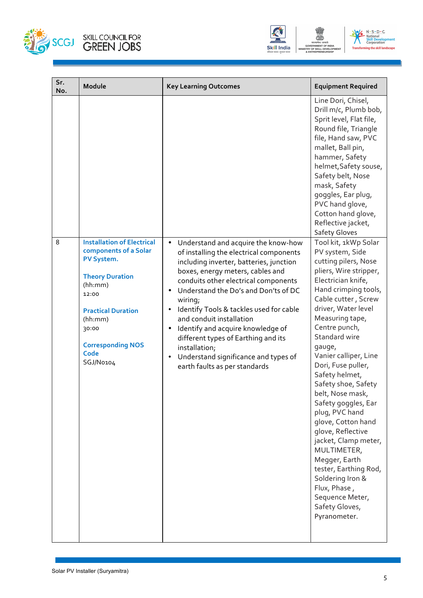





| Sr.<br>No. | Module                                                                                                                                                                                                                   | <b>Key Learning Outcomes</b>                                                                                                                                                                                                                                                                                                                                                                                                                                                                                                                                           | <b>Equipment Required</b>                                                                                                                                                                                                                                                                                                                                                                                                                                                                                                                                                                                                      |
|------------|--------------------------------------------------------------------------------------------------------------------------------------------------------------------------------------------------------------------------|------------------------------------------------------------------------------------------------------------------------------------------------------------------------------------------------------------------------------------------------------------------------------------------------------------------------------------------------------------------------------------------------------------------------------------------------------------------------------------------------------------------------------------------------------------------------|--------------------------------------------------------------------------------------------------------------------------------------------------------------------------------------------------------------------------------------------------------------------------------------------------------------------------------------------------------------------------------------------------------------------------------------------------------------------------------------------------------------------------------------------------------------------------------------------------------------------------------|
|            |                                                                                                                                                                                                                          |                                                                                                                                                                                                                                                                                                                                                                                                                                                                                                                                                                        | Line Dori, Chisel,<br>Drill m/c, Plumb bob,<br>Sprit level, Flat file,<br>Round file, Triangle<br>file, Hand saw, PVC<br>mallet, Ball pin,<br>hammer, Safety<br>helmet, Safety souse,<br>Safety belt, Nose<br>mask, Safety<br>goggles, Ear plug,<br>PVC hand glove,<br>Cotton hand glove,<br>Reflective jacket,<br><b>Safety Gloves</b>                                                                                                                                                                                                                                                                                        |
| 8          | <b>Installation of Electrical</b><br>components of a Solar<br>PV System.<br><b>Theory Duration</b><br>(hh:mm)<br>12:00<br><b>Practical Duration</b><br>(hh:mm)<br>30:00<br><b>Corresponding NOS</b><br>Code<br>SGJ/No104 | Understand and acquire the know-how<br>$\bullet$<br>of installing the electrical components<br>including inverter, batteries, junction<br>boxes, energy meters, cables and<br>conduits other electrical components<br>Understand the Do's and Don'ts of DC<br>$\bullet$<br>wiring;<br>Identify Tools & tackles used for cable<br>$\bullet$<br>and conduit installation<br>Identify and acquire knowledge of<br>$\bullet$<br>different types of Earthing and its<br>installation;<br>Understand significance and types of<br>$\bullet$<br>earth faults as per standards | Tool kit, 1kWp Solar<br>PV system, Side<br>cutting pilers, Nose<br>pliers, Wire stripper,<br>Electrician knife,<br>Hand crimping tools,<br>Cable cutter, Screw<br>driver, Water level<br>Measuring tape,<br>Centre punch,<br>Standard wire<br>gauge,<br>Vanier calliper, Line<br>Dori, Fuse puller,<br>Safety helmet,<br>Safety shoe, Safety<br>belt, Nose mask,<br>Safety goggles, Ear<br>plug, PVC hand<br>glove, Cotton hand<br>glove, Reflective<br>jacket, Clamp meter,<br>MULTIMETER,<br>Megger, Earth<br>tester, Earthing Rod,<br>Soldering Iron &<br>Flux, Phase,<br>Sequence Meter,<br>Safety Gloves,<br>Pyranometer. |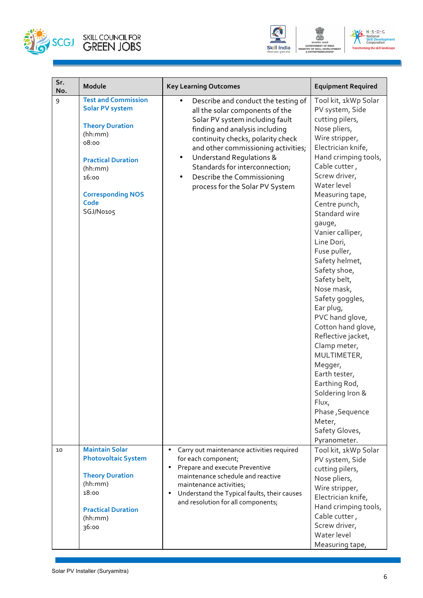





| Sr.<br>No. | Module                                                                                                                                                                                               | <b>Key Learning Outcomes</b>                                                                                                                                                                                                                                                                                                                                                | <b>Equipment Required</b>                                                                                                                                                                                                                                                                                                                                                                                                                                                                                                                                                                                                                           |
|------------|------------------------------------------------------------------------------------------------------------------------------------------------------------------------------------------------------|-----------------------------------------------------------------------------------------------------------------------------------------------------------------------------------------------------------------------------------------------------------------------------------------------------------------------------------------------------------------------------|-----------------------------------------------------------------------------------------------------------------------------------------------------------------------------------------------------------------------------------------------------------------------------------------------------------------------------------------------------------------------------------------------------------------------------------------------------------------------------------------------------------------------------------------------------------------------------------------------------------------------------------------------------|
| 9          | <b>Test and Commission</b><br><b>Solar PV system</b><br><b>Theory Duration</b><br>(hh:mm)<br>08:00<br><b>Practical Duration</b><br>(hh:mm)<br>16:00<br><b>Corresponding NOS</b><br>Code<br>SGJ/No105 | Describe and conduct the testing of<br>all the solar components of the<br>Solar PV system including fault<br>finding and analysis including<br>continuity checks, polarity check<br>and other commissioning activities;<br><b>Understand Requlations &amp;</b><br>٠<br>Standards for interconnection;<br>Describe the Commissioning<br>٠<br>process for the Solar PV System | Tool kit, 1kWp Solar<br>PV system, Side<br>cutting pilers,<br>Nose pliers,<br>Wire stripper,<br>Electrician knife,<br>Hand crimping tools,<br>Cable cutter,<br>Screw driver,<br>Water level<br>Measuring tape,<br>Centre punch,<br>Standard wire<br>gauge,<br>Vanier calliper,<br>Line Dori,<br>Fuse puller,<br>Safety helmet,<br>Safety shoe,<br>Safety belt,<br>Nose mask,<br>Safety goggles,<br>Ear plug,<br>PVC hand glove,<br>Cotton hand glove,<br>Reflective jacket,<br>Clamp meter,<br>MULTIMETER,<br>Megger,<br>Earth tester,<br>Earthing Rod,<br>Soldering Iron &<br>Flux,<br>Phase, Sequence<br>Meter,<br>Safety Gloves,<br>Pyranometer. |
| 10         | <b>Maintain Solar</b><br><b>Photovoltaic System</b><br><b>Theory Duration</b><br>(hh:mm)<br>18:00<br><b>Practical Duration</b><br>(hh:mm)<br>36:00                                                   | Carry out maintenance activities required<br>for each component;<br>Prepare and execute Preventive<br>$\bullet$<br>maintenance schedule and reactive<br>maintenance activities;<br>Understand the Typical faults, their causes<br>$\bullet$<br>and resolution for all components;                                                                                           | Tool kit, 1kWp Solar<br>PV system, Side<br>cutting pilers,<br>Nose pliers,<br>Wire stripper,<br>Electrician knife,<br>Hand crimping tools,<br>Cable cutter,<br>Screw driver,<br>Water level<br>Measuring tape,                                                                                                                                                                                                                                                                                                                                                                                                                                      |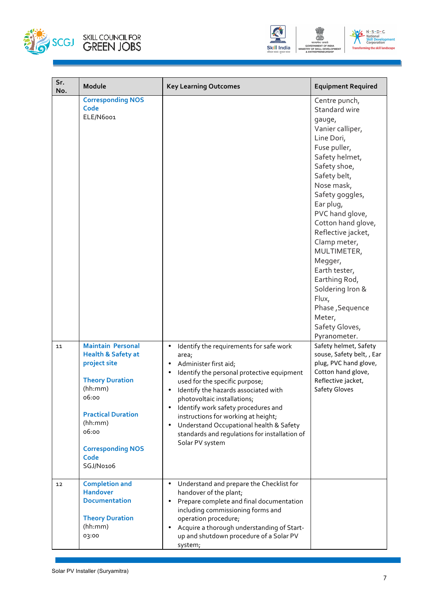



| Sr.<br>No. | Module                                                                                                                                                                                                                    | <b>Key Learning Outcomes</b>                                                                                                                                                                                                                                                                                                                                                                                                                                                                | <b>Equipment Required</b>                                                                                                                                                                                                                                                                                                                                                                                                         |
|------------|---------------------------------------------------------------------------------------------------------------------------------------------------------------------------------------------------------------------------|---------------------------------------------------------------------------------------------------------------------------------------------------------------------------------------------------------------------------------------------------------------------------------------------------------------------------------------------------------------------------------------------------------------------------------------------------------------------------------------------|-----------------------------------------------------------------------------------------------------------------------------------------------------------------------------------------------------------------------------------------------------------------------------------------------------------------------------------------------------------------------------------------------------------------------------------|
|            | <b>Corresponding NOS</b><br>Code<br>ELE/N6001                                                                                                                                                                             |                                                                                                                                                                                                                                                                                                                                                                                                                                                                                             | Centre punch,<br>Standard wire<br>gauge,<br>Vanier calliper,<br>Line Dori,<br>Fuse puller,<br>Safety helmet,<br>Safety shoe,<br>Safety belt,<br>Nose mask,<br>Safety goggles,<br>Ear plug,<br>PVC hand glove,<br>Cotton hand glove,<br>Reflective jacket,<br>Clamp meter,<br>MULTIMETER,<br>Megger,<br>Earth tester,<br>Earthing Rod,<br>Soldering Iron &<br>Flux,<br>Phase, Sequence<br>Meter,<br>Safety Gloves,<br>Pyranometer. |
| 11         | <b>Maintain Personal</b><br><b>Health &amp; Safety at</b><br>project site<br><b>Theory Duration</b><br>(hh:mm)<br>06:00<br><b>Practical Duration</b><br>(hh:mm)<br>06:00<br><b>Corresponding NOS</b><br>Code<br>SGJ/No106 | Identify the requirements for safe work<br>٠<br>area;<br>Administer first aid;<br>$\bullet$<br>Identify the personal protective equipment<br>$\bullet$<br>used for the specific purpose;<br>Identify the hazards associated with<br>٠<br>photovoltaic installations;<br>Identify work safety procedures and<br>$\bullet$<br>instructions for working at height;<br>Understand Occupational health & Safety<br>$\bullet$<br>standards and regulations for installation of<br>Solar PV system | Safety helmet, Safety<br>souse, Safety belt, , Ear<br>plug, PVC hand glove,<br>Cotton hand glove,<br>Reflective jacket,<br><b>Safety Gloves</b>                                                                                                                                                                                                                                                                                   |
| 12         | <b>Completion and</b><br><b>Handover</b><br><b>Documentation</b><br><b>Theory Duration</b><br>(hh:mm)<br>03:00                                                                                                            | Understand and prepare the Checklist for<br>$\bullet$<br>handover of the plant;<br>Prepare complete and final documentation<br>٠<br>including commissioning forms and<br>operation procedure;<br>Acquire a thorough understanding of Start-<br>٠<br>up and shutdown procedure of a Solar PV<br>system;                                                                                                                                                                                      |                                                                                                                                                                                                                                                                                                                                                                                                                                   |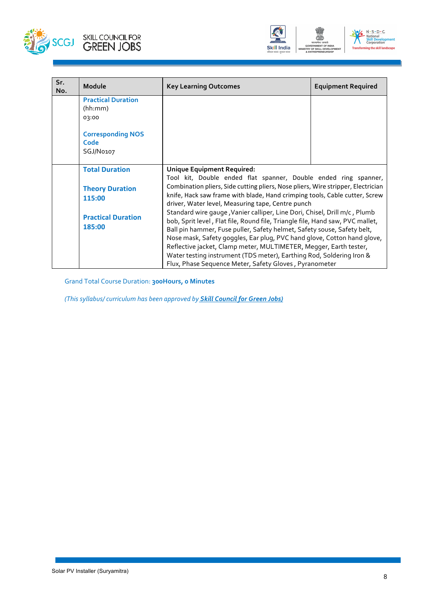





| Sr.<br>No. | Module                                        | <b>Key Learning Outcomes</b>                                                                                                                                                                                                                                                                                     | <b>Equipment Required</b> |
|------------|-----------------------------------------------|------------------------------------------------------------------------------------------------------------------------------------------------------------------------------------------------------------------------------------------------------------------------------------------------------------------|---------------------------|
|            | <b>Practical Duration</b><br>(hh:mm)<br>03:00 |                                                                                                                                                                                                                                                                                                                  |                           |
|            | <b>Corresponding NOS</b><br>Code<br>SGJ/No107 |                                                                                                                                                                                                                                                                                                                  |                           |
|            | <b>Total Duration</b>                         | <b>Unique Equipment Required:</b><br>Tool kit, Double ended flat spanner, Double ended ring spanner,                                                                                                                                                                                                             |                           |
|            | <b>Theory Duration</b><br>115:00              | Combination pliers, Side cutting pliers, Nose pliers, Wire stripper, Electrician<br>knife, Hack saw frame with blade, Hand crimping tools, Cable cutter, Screw<br>driver, Water level, Measuring tape, Centre punch                                                                                              |                           |
|            | <b>Practical Duration</b><br>185:00           | Standard wire gauge, Vanier calliper, Line Dori, Chisel, Drill m/c, Plumb<br>bob, Sprit level, Flat file, Round file, Triangle file, Hand saw, PVC mallet,<br>Ball pin hammer, Fuse puller, Safety helmet, Safety souse, Safety belt,<br>Nose mask, Safety goggles, Ear plug, PVC hand glove, Cotton hand glove, |                           |
|            |                                               | Reflective jacket, Clamp meter, MULTIMETER, Megger, Earth tester,<br>Water testing instrument (TDS meter), Earthing Rod, Soldering Iron &<br>Flux, Phase Sequence Meter, Safety Gloves, Pyranometer                                                                                                              |                           |

Grand Total Course Duration: **300Hours, 0 Minutes**

*(This syllabus/ curriculum has been approved by Skill Council for Green Jobs)*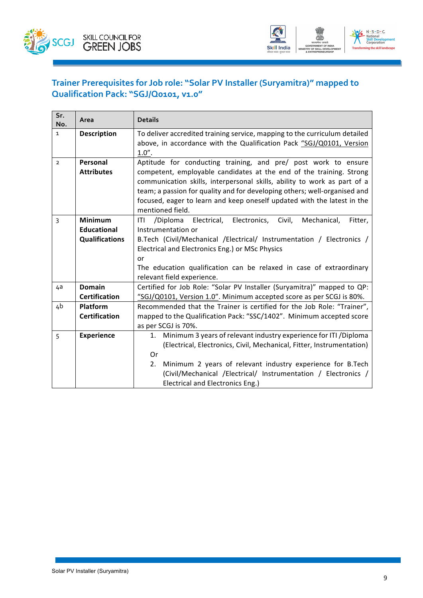



### **Trainer Prerequisites for Job role: "Solar PV Installer (Suryamitra)" mapped to Qualification Pack: "SGJ/Q0101, v1.0"**

| Sr.<br>No.     | Area                  | <b>Details</b>                                                                     |  |  |
|----------------|-----------------------|------------------------------------------------------------------------------------|--|--|
| $\mathbf{1}$   | <b>Description</b>    | To deliver accredited training service, mapping to the curriculum detailed         |  |  |
|                |                       | above, in accordance with the Qualification Pack "SGJ/Q0101, Version               |  |  |
|                |                       | 1.0".                                                                              |  |  |
| $\overline{2}$ | Personal              | Aptitude for conducting training, and pre/ post work to ensure                     |  |  |
|                | <b>Attributes</b>     | competent, employable candidates at the end of the training. Strong                |  |  |
|                |                       | communication skills, interpersonal skills, ability to work as part of a           |  |  |
|                |                       | team; a passion for quality and for developing others; well-organised and          |  |  |
|                |                       | focused, eager to learn and keep oneself updated with the latest in the            |  |  |
|                |                       | mentioned field.                                                                   |  |  |
| 3              | <b>Minimum</b>        | /Diploma<br>Electrical,<br>Electronics,<br>Civil,<br>Mechanical,<br>ITI<br>Fitter, |  |  |
|                | <b>Educational</b>    | Instrumentation or                                                                 |  |  |
|                | <b>Qualifications</b> | B.Tech (Civil/Mechanical /Electrical/ Instrumentation / Electronics /              |  |  |
|                |                       | Electrical and Electronics Eng.) or MSc Physics                                    |  |  |
|                |                       | or                                                                                 |  |  |
|                |                       | The education qualification can be relaxed in case of extraordinary                |  |  |
|                |                       | relevant field experience.                                                         |  |  |
| 4a             | <b>Domain</b>         | Certified for Job Role: "Solar PV Installer (Suryamitra)" mapped to QP:            |  |  |
|                | <b>Certification</b>  | "SGJ/Q0101, Version 1.0". Minimum accepted score as per SCGJ is 80%.               |  |  |
| 4b             | <b>Platform</b>       | Recommended that the Trainer is certified for the Job Role: "Trainer",             |  |  |
|                | <b>Certification</b>  | mapped to the Qualification Pack: "SSC/1402". Minimum accepted score               |  |  |
|                |                       | as per SCGJ is 70%.                                                                |  |  |
| 5              | <b>Experience</b>     | 1. Minimum 3 years of relevant industry experience for ITI / Diploma               |  |  |
|                |                       | (Electrical, Electronics, Civil, Mechanical, Fitter, Instrumentation)              |  |  |
|                |                       | Or                                                                                 |  |  |
|                |                       | Minimum 2 years of relevant industry experience for B.Tech<br>2.                   |  |  |
|                |                       | (Civil/Mechanical /Electrical/ Instrumentation / Electronics /                     |  |  |
|                |                       | Electrical and Electronics Eng.)                                                   |  |  |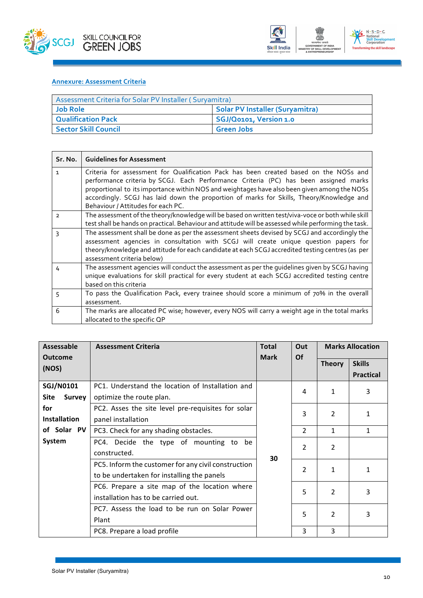



#### **Annexure: Assessment Criteria**

| Assessment Criteria for Solar PV Installer (Suryamitra) |                                        |  |
|---------------------------------------------------------|----------------------------------------|--|
| <b>Job Role</b>                                         | <b>Solar PV Installer (Suryamitra)</b> |  |
| <b>Qualification Pack</b>                               | SGJ/Q0101, Version 1.0                 |  |
| <b>Sector Skill Council</b>                             | <b>Green Jobs</b>                      |  |

| Sr. No.        | <b>Guidelines for Assessment</b>                                                                                                                                                                                                                                                                                                                                                                                |
|----------------|-----------------------------------------------------------------------------------------------------------------------------------------------------------------------------------------------------------------------------------------------------------------------------------------------------------------------------------------------------------------------------------------------------------------|
| 1              | Criteria for assessment for Qualification Pack has been created based on the NOSs and<br>performance criteria by SCGJ. Each Performance Criteria (PC) has been assigned marks<br>proportional to its importance within NOS and weightages have also been given among the NOSs<br>accordingly. SCGJ has laid down the proportion of marks for Skills, Theory/Knowledge and<br>Behaviour / Attitudes for each PC. |
| $\overline{2}$ | The assessment of the theory/knowledge will be based on written test/viva-voce or both while skill<br>test shall be hands on practical. Behaviour and attitude will be assessed while performing the task.                                                                                                                                                                                                      |
| ς              | The assessment shall be done as per the assessment sheets devised by SCGJ and accordingly the<br>assessment agencies in consultation with SCGJ will create unique question papers for<br>theory/knowledge and attitude for each candidate at each SCGJ accredited testing centres (as per<br>assessment criteria below)                                                                                         |
| 4              | The assessment agencies will conduct the assessment as per the guidelines given by SCGJ having<br>unique evaluations for skill practical for every student at each SCGJ accredited testing centre<br>based on this criteria                                                                                                                                                                                     |
| 5              | To pass the Qualification Pack, every trainee should score a minimum of 70% in the overall<br>assessment.                                                                                                                                                                                                                                                                                                       |
| 6              | The marks are allocated PC wise; however, every NOS will carry a weight age in the total marks<br>allocated to the specific QP                                                                                                                                                                                                                                                                                  |

| <b>Assessable</b>   | <b>Assessment Criteria</b>                          | <b>Total</b> | Out            | <b>Marks Allocation</b> |                  |
|---------------------|-----------------------------------------------------|--------------|----------------|-------------------------|------------------|
| <b>Outcome</b>      |                                                     | <b>Mark</b>  | <b>Of</b>      | <b>Theory</b>           | <b>Skills</b>    |
| (NOS)               |                                                     |              |                |                         | <b>Practical</b> |
| <b>SGJ/N0101</b>    | PC1. Understand the location of Installation and    |              | 4              | 1                       | 3                |
| Site<br>Survey      | optimize the route plan.                            |              |                |                         |                  |
| for                 | PC2. Asses the site level pre-requisites for solar  |              | 3              | $\mathcal{P}$           | $\mathbf{1}$     |
| <b>Installation</b> | panel installation                                  |              |                |                         |                  |
| of Solar PV         | PC3. Check for any shading obstacles.               |              | 2              | $\mathbf{1}$            | $\mathbf{1}$     |
| System              | PC4. Decide the type of mounting to be              |              | $\overline{2}$ | $\overline{2}$          |                  |
|                     | constructed.                                        | 30           |                |                         |                  |
|                     | PC5. Inform the customer for any civil construction |              | $\mathfrak{p}$ | 1                       | 1                |
|                     | to be undertaken for installing the panels          |              |                |                         |                  |
|                     | PC6. Prepare a site map of the location where       |              | 5              | $\overline{2}$          | 3                |
|                     | installation has to be carried out.                 |              |                |                         |                  |
|                     | PC7. Assess the load to be run on Solar Power       |              | 5              | 2                       | 3                |
|                     | Plant                                               |              |                |                         |                  |
|                     | PC8. Prepare a load profile                         |              | 3              | 3                       |                  |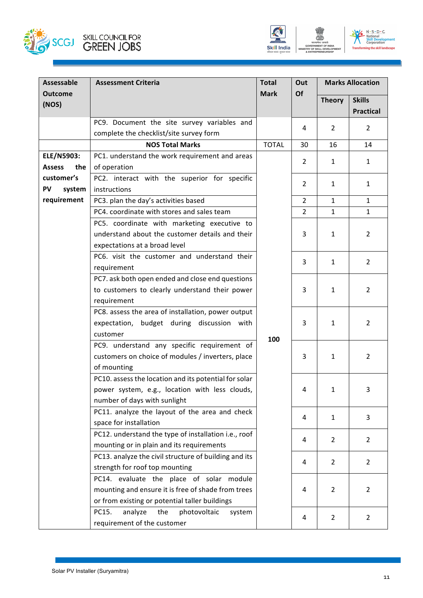



| <b>Assessable</b>       | <b>Assessment Criteria</b>                                                     | <b>Total</b> | Out            |                | <b>Marks Allocation</b> |
|-------------------------|--------------------------------------------------------------------------------|--------------|----------------|----------------|-------------------------|
| <b>Outcome</b><br>(NOS) |                                                                                | <b>Mark</b>  | Of             | <b>Theory</b>  | <b>Skills</b>           |
|                         |                                                                                |              |                |                | <b>Practical</b>        |
|                         | PC9. Document the site survey variables and                                    |              | 4              | $\overline{2}$ | $\overline{2}$          |
|                         | complete the checklist/site survey form                                        |              |                |                |                         |
|                         | <b>NOS Total Marks</b>                                                         | <b>TOTAL</b> | 30             | 16             | 14                      |
| <b>ELE/N5903:</b>       | PC1. understand the work requirement and areas                                 |              | 2              | $\mathbf{1}$   | 1                       |
| <b>Assess</b><br>the    | of operation                                                                   |              |                |                |                         |
| customer's              | PC2. interact with the superior for specific                                   |              | $\overline{2}$ | $\mathbf{1}$   | 1                       |
| <b>PV</b><br>system     | instructions                                                                   |              |                |                |                         |
| requirement             | PC3. plan the day's activities based                                           |              | $\overline{2}$ | $\mathbf{1}$   | $\mathbf{1}$            |
|                         | PC4. coordinate with stores and sales team                                     |              | $\overline{2}$ | $\mathbf{1}$   | $\mathbf{1}$            |
|                         | PC5. coordinate with marketing executive to                                    |              |                |                |                         |
|                         | understand about the customer details and their                                |              | 3              | 1              | $\overline{2}$          |
|                         | expectations at a broad level                                                  |              |                |                |                         |
|                         | PC6. visit the customer and understand their                                   |              | 3              | $\mathbf{1}$   | $\overline{2}$          |
|                         | requirement                                                                    |              |                |                |                         |
|                         | PC7. ask both open ended and close end questions                               |              |                |                |                         |
|                         | to customers to clearly understand their power                                 |              | 3              | $\mathbf{1}$   | $\overline{2}$          |
|                         | requirement                                                                    |              |                |                |                         |
|                         | PC8. assess the area of installation, power output                             |              |                |                |                         |
|                         | expectation, budget during discussion with                                     |              | 3              | $\mathbf{1}$   | $\overline{2}$          |
|                         | customer                                                                       | 100          |                |                |                         |
|                         | PC9. understand any specific requirement of                                    |              |                |                |                         |
|                         | customers on choice of modules / inverters, place                              |              | 3              | $\mathbf{1}$   | $\overline{2}$          |
|                         | of mounting                                                                    |              |                |                |                         |
|                         | PC10. assess the location and its potential for solar                          |              |                |                |                         |
|                         | power system, e.g., location with less clouds,                                 |              | 4              | 1              | 3                       |
|                         | number of days with sunlight                                                   |              |                |                |                         |
|                         | PC11. analyze the layout of the area and check                                 |              | 4              | $\mathbf{1}$   | 3                       |
|                         | space for installation<br>PC12. understand the type of installation i.e., roof |              |                |                |                         |
|                         | mounting or in plain and its requirements                                      |              | 4              | $\overline{2}$ | $\overline{2}$          |
|                         | PC13. analyze the civil structure of building and its                          |              |                |                |                         |
|                         | strength for roof top mounting                                                 |              | 4              | $\overline{2}$ | $\overline{2}$          |
|                         | PC14. evaluate the place of solar module                                       |              |                |                |                         |
|                         | mounting and ensure it is free of shade from trees                             |              | 4              | $\overline{2}$ | 2                       |
|                         | or from existing or potential taller buildings                                 |              |                |                |                         |
|                         | analyze<br>PC15.<br>the<br>photovoltaic<br>system                              |              |                |                |                         |
|                         | requirement of the customer                                                    |              | 4              | $\overline{2}$ | $\overline{2}$          |
|                         |                                                                                |              |                |                |                         |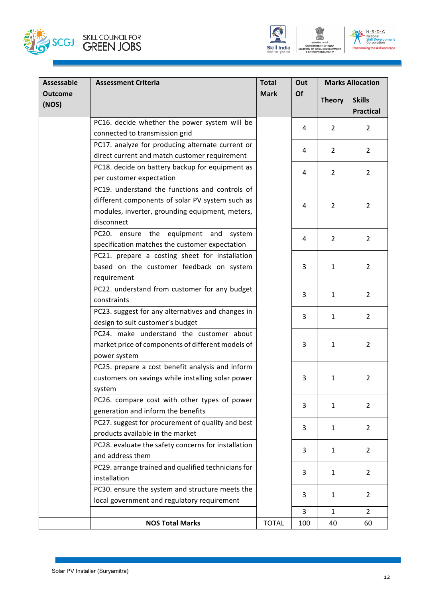



| Assessable              | <b>Assessment Criteria</b>                          | <b>Total</b> | Out | <b>Marks Allocation</b> |                  |  |
|-------------------------|-----------------------------------------------------|--------------|-----|-------------------------|------------------|--|
| <b>Outcome</b><br>(NOS) |                                                     | <b>Mark</b>  | Of  | <b>Theory</b>           | <b>Skills</b>    |  |
|                         |                                                     |              |     |                         | <b>Practical</b> |  |
|                         | PC16. decide whether the power system will be       |              | 4   | $\overline{2}$          | $\overline{2}$   |  |
|                         | connected to transmission grid                      |              |     |                         |                  |  |
|                         | PC17. analyze for producing alternate current or    |              | 4   | $\overline{2}$          | $\overline{2}$   |  |
|                         | direct current and match customer requirement       |              |     |                         |                  |  |
|                         | PC18. decide on battery backup for equipment as     |              | 4   | $\overline{2}$          | $\overline{2}$   |  |
|                         | per customer expectation                            |              |     |                         |                  |  |
|                         | PC19. understand the functions and controls of      |              |     |                         |                  |  |
|                         | different components of solar PV system such as     |              | 4   | $\overline{2}$          | $\overline{2}$   |  |
|                         | modules, inverter, grounding equipment, meters,     |              |     |                         |                  |  |
|                         | disconnect                                          |              |     |                         |                  |  |
|                         | PC20. ensure the equipment and system               |              | 4   | $\overline{2}$          | $\overline{2}$   |  |
|                         | specification matches the customer expectation      |              |     |                         |                  |  |
|                         | PC21. prepare a costing sheet for installation      |              |     |                         |                  |  |
|                         | based on the customer feedback on system            |              | 3   | $\mathbf{1}$            | $\overline{2}$   |  |
|                         | requirement                                         |              |     |                         |                  |  |
|                         | PC22. understand from customer for any budget       |              | 3   | $\mathbf{1}$            | $\overline{2}$   |  |
|                         | constraints                                         |              |     |                         |                  |  |
|                         | PC23. suggest for any alternatives and changes in   |              | 3   | $\mathbf{1}$            | $\overline{2}$   |  |
|                         | design to suit customer's budget                    |              |     |                         |                  |  |
|                         | PC24. make understand the customer about            |              |     |                         |                  |  |
|                         | market price of components of different models of   |              | 3   | $\mathbf{1}$            | $\overline{2}$   |  |
|                         | power system                                        |              |     |                         |                  |  |
|                         | PC25. prepare a cost benefit analysis and inform    |              |     |                         |                  |  |
|                         | customers on savings while installing solar power   |              | 3   | 1                       | $\overline{2}$   |  |
|                         | system                                              |              |     |                         |                  |  |
|                         | PC26. compare cost with other types of power        |              | 3   | $\mathbf{1}$            | $\overline{2}$   |  |
|                         | generation and inform the benefits                  |              |     |                         |                  |  |
|                         | PC27. suggest for procurement of quality and best   |              | 3   | 1                       | $\overline{2}$   |  |
|                         | products available in the market                    |              |     |                         |                  |  |
|                         | PC28. evaluate the safety concerns for installation |              | 3   | 1                       | $\overline{2}$   |  |
|                         | and address them                                    |              |     |                         |                  |  |
|                         | PC29. arrange trained and qualified technicians for |              | 3   | $\mathbf{1}$            | $\overline{2}$   |  |
|                         | installation                                        |              |     |                         |                  |  |
|                         | PC30. ensure the system and structure meets the     |              | 3   | $\mathbf{1}$            | $\overline{2}$   |  |
|                         | local government and regulatory requirement         |              |     |                         |                  |  |
|                         |                                                     |              | 3   | $\mathbf{1}$            | $\overline{2}$   |  |
|                         | <b>NOS Total Marks</b>                              | <b>TOTAL</b> | 100 | 40                      | 60               |  |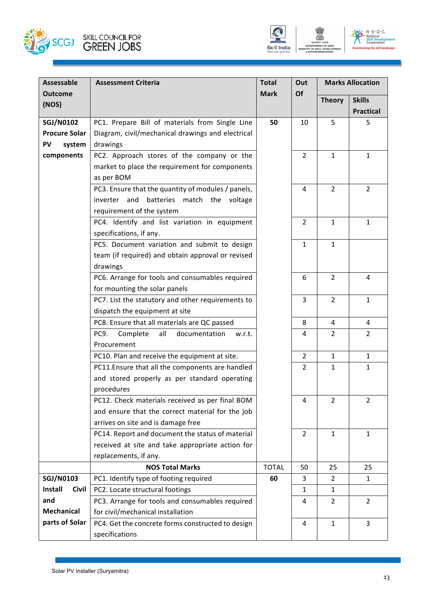



GOVERNMENT OF INDIA<br>STRY OF SKILL DEVELOR<br>& ENTREPRENEURSHIP

| <b>Assessable</b>    | <b>Assessment Criteria</b>                         | <b>Total</b> | Out            | <b>Marks Allocation</b> |                  |                |
|----------------------|----------------------------------------------------|--------------|----------------|-------------------------|------------------|----------------|
| <b>Outcome</b>       |                                                    | <b>Mark</b>  | Of             | <b>Theory</b>           | <b>Skills</b>    |                |
| (NOS)                |                                                    |              |                |                         | <b>Practical</b> |                |
| <b>SGJ/N0102</b>     | PC1. Prepare Bill of materials from Single Line    | 50           | 10             | 5                       | 5                |                |
| <b>Procure Solar</b> | Diagram, civil/mechanical drawings and electrical  |              |                |                         |                  |                |
| PV<br>system         | drawings                                           |              |                |                         |                  |                |
| components           | PC2. Approach stores of the company or the         |              | $\overline{2}$ | $\mathbf{1}$            | $\mathbf{1}$     |                |
|                      | market to place the requirement for components     |              |                |                         |                  |                |
|                      | as per BOM                                         |              |                |                         |                  |                |
|                      | PC3. Ensure that the quantity of modules / panels, |              | $\overline{4}$ | $\overline{2}$          | $\overline{2}$   |                |
|                      | inverter and batteries match the voltage           |              |                |                         |                  |                |
|                      | requirement of the system                          |              |                |                         |                  |                |
|                      | PC4. Identify and list variation in equipment      |              | $\overline{2}$ | $\mathbf{1}$            | $\mathbf{1}$     |                |
|                      | specifications, if any.                            |              |                |                         |                  |                |
|                      | PC5. Document variation and submit to design       |              | $\mathbf{1}$   | $\mathbf{1}$            |                  |                |
|                      | team (if required) and obtain approval or revised  |              |                |                         |                  |                |
|                      | drawings                                           |              |                |                         |                  |                |
|                      | PC6. Arrange for tools and consumables required    |              |                | 6                       | $\overline{2}$   | 4              |
|                      | for mounting the solar panels                      |              |                |                         |                  |                |
|                      | PC7. List the statutory and other requirements to  |              | $\overline{3}$ | $\overline{2}$          | $\mathbf{1}$     |                |
|                      | dispatch the equipment at site                     |              |                |                         |                  |                |
|                      | PC8. Ensure that all materials are QC passed       |              |                | 8                       | 4                | 4              |
|                      | PC9.<br>Complete<br>all<br>documentation<br>w.r.t. |              | $\overline{4}$ | $\overline{2}$          | $\overline{2}$   |                |
|                      | Procurement                                        |              |                |                         |                  |                |
|                      | PC10. Plan and receive the equipment at site.      |              | $\overline{2}$ | $\mathbf{1}$            | $\mathbf{1}$     |                |
|                      | PC11. Ensure that all the components are handled   |              | $\overline{2}$ | $\mathbf{1}$            | $\mathbf{1}$     |                |
|                      | and stored properly as per standard operating      |              |                |                         |                  |                |
|                      | procedures                                         |              |                |                         |                  |                |
|                      | PC12. Check materials received as per final BOM    | 4            |                |                         | $\overline{2}$   | $\overline{2}$ |
|                      | and ensure that the correct material for the job   |              |                |                         |                  |                |
|                      | arrives on site and is damage free                 |              |                |                         |                  |                |
|                      | PC14. Report and document the status of material   |              | $\overline{2}$ | $\mathbf{1}$            | $\mathbf{1}$     |                |
|                      | received at site and take appropriate action for   |              |                |                         |                  |                |
|                      | replacements, if any.                              |              |                |                         |                  |                |
|                      | <b>NOS Total Marks</b>                             | <b>TOTAL</b> | 50             | 25                      | 25               |                |
| <b>SGJ/N0103</b>     | PC1. Identify type of footing required             | 60           | 3              | $\overline{2}$          | $\mathbf{1}$     |                |
| Install<br>Civil     | PC2. Locate structural footings                    |              | $\mathbf{1}$   | $\mathbf{1}$            |                  |                |
| and                  | PC3. Arrange for tools and consumables required    |              | 4              | $\overline{2}$          | $\overline{2}$   |                |
| <b>Mechanical</b>    | for civil/mechanical installation                  |              |                |                         |                  |                |
| parts of Solar       | PC4. Get the concrete forms constructed to design  |              | 4              | $\mathbf{1}$            | 3                |                |
|                      | specifications                                     |              |                |                         |                  |                |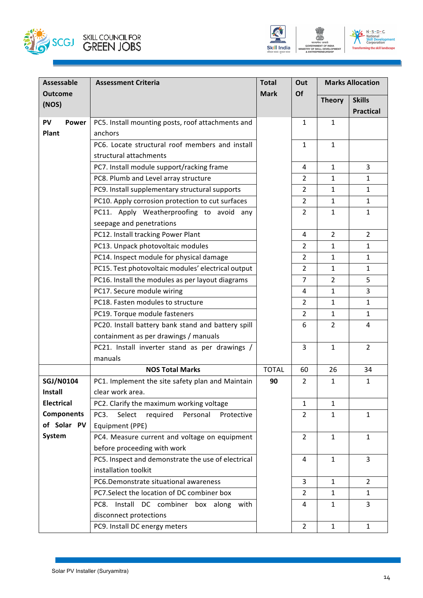



| <b>Assessable</b> | <b>Assessment Criteria</b>                           | <b>Total</b> | Out            |                | <b>Marks Allocation</b> |
|-------------------|------------------------------------------------------|--------------|----------------|----------------|-------------------------|
| <b>Outcome</b>    |                                                      | <b>Mark</b>  | Of             | <b>Theory</b>  | <b>Skills</b>           |
| (NOS)             |                                                      |              |                |                | <b>Practical</b>        |
| PV<br>Power       | PC5. Install mounting posts, roof attachments and    |              | $\mathbf{1}$   | $\mathbf{1}$   |                         |
| Plant             | anchors                                              |              |                |                |                         |
|                   | PC6. Locate structural roof members and install      |              | $\mathbf{1}$   | $\mathbf{1}$   |                         |
|                   | structural attachments                               |              |                |                |                         |
|                   | PC7. Install module support/racking frame            |              | $\overline{4}$ | $\mathbf{1}$   | $\overline{3}$          |
|                   | PC8. Plumb and Level array structure                 |              | $\overline{2}$ | $\mathbf{1}$   | 1                       |
|                   | PC9. Install supplementary structural supports       |              | $\overline{2}$ | $\mathbf{1}$   | $\mathbf{1}$            |
|                   | PC10. Apply corrosion protection to cut surfaces     |              | $\overline{2}$ | $\mathbf{1}$   | $\mathbf{1}$            |
|                   | PC11. Apply Weatherproofing to avoid any             |              | $\overline{2}$ | $\mathbf{1}$   | $\mathbf{1}$            |
|                   | seepage and penetrations                             |              |                |                |                         |
|                   | PC12. Install tracking Power Plant                   |              | $\overline{4}$ | $\overline{2}$ | $\overline{2}$          |
|                   | PC13. Unpack photovoltaic modules                    |              | $\overline{2}$ | $\mathbf{1}$   | $\mathbf{1}$            |
|                   | PC14. Inspect module for physical damage             |              | $\overline{2}$ | $\mathbf{1}$   | $\mathbf{1}$            |
|                   | PC15. Test photovoltaic modules' electrical output   |              | $\overline{2}$ | $\mathbf{1}$   | $\mathbf{1}$            |
|                   | PC16. Install the modules as per layout diagrams     |              | $\overline{7}$ | $\overline{2}$ | 5                       |
|                   | PC17. Secure module wiring                           |              | 4              | $\mathbf{1}$   | 3                       |
|                   | PC18. Fasten modules to structure                    |              | $\overline{2}$ | $\mathbf{1}$   | $\mathbf{1}$            |
|                   | PC19. Torque module fasteners                        |              | $\overline{2}$ | $\mathbf{1}$   | $\mathbf{1}$            |
|                   | PC20. Install battery bank stand and battery spill   |              | 6              | $\overline{2}$ | 4                       |
|                   | containment as per drawings / manuals                |              |                |                |                         |
|                   | PC21. Install inverter stand as per drawings /       |              | $\overline{3}$ | $\mathbf{1}$   | $\overline{2}$          |
|                   | manuals                                              |              |                |                |                         |
|                   | <b>NOS Total Marks</b>                               | <b>TOTAL</b> | 60             | 26             | 34                      |
| <b>SGJ/N0104</b>  | PC1. Implement the site safety plan and Maintain     | 90           | $\overline{2}$ | $\mathbf{1}$   | $\mathbf{1}$            |
| <b>Install</b>    | clear work area.                                     |              |                |                |                         |
| <b>Electrical</b> | PC2. Clarify the maximum working voltage             |              | $\mathbf{1}$   | $\mathbf{1}$   |                         |
| <b>Components</b> | PC3.<br>Select<br>required<br>Personal<br>Protective |              | $\overline{2}$ | $\mathbf{1}$   | $\mathbf{1}$            |
| of Solar PV       | Equipment (PPE)                                      |              |                |                |                         |
| System            | PC4. Measure current and voltage on equipment        |              | $\overline{2}$ | $\mathbf{1}$   | $\mathbf{1}$            |
|                   | before proceeding with work                          |              |                |                |                         |
|                   | PC5. Inspect and demonstrate the use of electrical   |              | 4              | $\mathbf{1}$   | $\overline{3}$          |
|                   | installation toolkit                                 |              |                |                |                         |
|                   | PC6.Demonstrate situational awareness                |              | $\overline{3}$ | $\mathbf{1}$   | $\overline{2}$          |
|                   | PC7.Select the location of DC combiner box           |              | $\overline{2}$ | $\mathbf{1}$   | $\mathbf{1}$            |
|                   | Install DC combiner box along with<br>PC8.           |              | 4              | $\mathbf{1}$   | 3                       |
|                   | disconnect protections                               |              |                |                |                         |
|                   | PC9. Install DC energy meters                        |              | $2^{\circ}$    | $\mathbf{1}$   | $\mathbf{1}$            |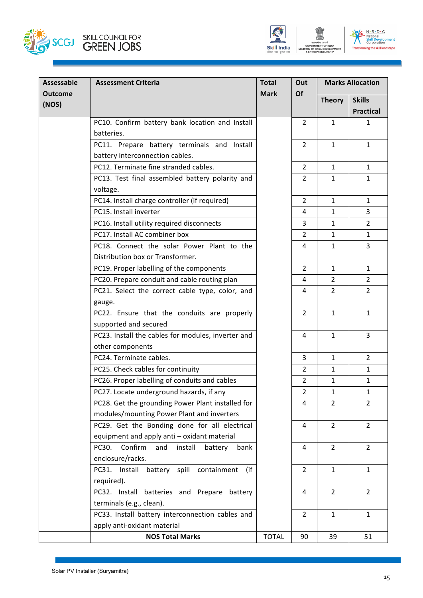



| Assessable<br><b>Outcome</b> | <b>Assessment Criteria</b>                            | <b>Total</b><br><b>Mark</b> | Out<br>Of      |                | <b>Marks Allocation</b> |
|------------------------------|-------------------------------------------------------|-----------------------------|----------------|----------------|-------------------------|
| (NOS)                        |                                                       |                             |                | <b>Theory</b>  | <b>Skills</b>           |
|                              |                                                       |                             |                |                | <b>Practical</b>        |
|                              | PC10. Confirm battery bank location and Install       |                             | $\overline{2}$ | $\mathbf{1}$   | 1                       |
|                              | batteries.                                            |                             |                |                |                         |
|                              | PC11. Prepare battery terminals and Install           |                             | $\overline{2}$ | $\mathbf{1}$   | $\mathbf{1}$            |
|                              | battery interconnection cables.                       |                             |                |                |                         |
|                              | PC12. Terminate fine stranded cables.                 |                             | $\overline{2}$ | $\mathbf{1}$   | 1                       |
|                              | PC13. Test final assembled battery polarity and       |                             | $\overline{2}$ | $\mathbf{1}$   | $\mathbf{1}$            |
|                              | voltage.                                              |                             |                |                |                         |
|                              | PC14. Install charge controller (if required)         |                             | $\overline{2}$ | $\mathbf{1}$   | $\mathbf{1}$            |
|                              | PC15. Install inverter                                |                             | 4              | $\mathbf{1}$   | 3                       |
|                              | PC16. Install utility required disconnects            |                             | 3              | 1              | $\overline{2}$          |
|                              | PC17. Install AC combiner box                         |                             | $\mathcal{L}$  | $\mathbf{1}$   | $\mathbf{1}$            |
|                              | PC18. Connect the solar Power Plant to the            |                             | 4              | $\mathbf{1}$   | 3                       |
|                              | Distribution box or Transformer.                      |                             |                |                |                         |
|                              | PC19. Proper labelling of the components              |                             | $\overline{2}$ | $\mathbf{1}$   | $\mathbf{1}$            |
|                              | PC20. Prepare conduit and cable routing plan          |                             | 4              | 2              | $\overline{2}$          |
|                              | PC21. Select the correct cable type, color, and       |                             | 4              | $\overline{2}$ | $\overline{2}$          |
|                              | gauge.                                                |                             |                |                |                         |
|                              | PC22. Ensure that the conduits are properly           |                             | 2              | $\mathbf{1}$   | $\mathbf{1}$            |
|                              | supported and secured                                 |                             |                |                |                         |
|                              | PC23. Install the cables for modules, inverter and    |                             | 4              | $\mathbf{1}$   | 3                       |
|                              | other components                                      |                             |                |                |                         |
|                              | PC24. Terminate cables.                               |                             | $\overline{3}$ | $\mathbf{1}$   | $\overline{2}$          |
|                              | PC25. Check cables for continuity                     |                             | $\overline{2}$ | 1              | $\mathbf{1}$            |
|                              | PC26. Proper labelling of conduits and cables         |                             | $\overline{2}$ | $\mathbf{1}$   | $\mathbf{1}$            |
|                              | PC27. Locate underground hazards, if any              |                             | $\overline{2}$ | $\mathbf{1}$   | $\mathbf{1}$            |
|                              | PC28. Get the grounding Power Plant installed for     |                             | 4              | $\overline{2}$ | $\overline{2}$          |
|                              | modules/mounting Power Plant and inverters            |                             |                |                |                         |
|                              | PC29. Get the Bonding done for all electrical         |                             | 4              | $\overline{2}$ | $\overline{2}$          |
|                              | equipment and apply anti - oxidant material           |                             |                |                |                         |
|                              | Confirm<br>PC30.<br>install<br>and<br>battery<br>bank |                             | 4              | $\overline{2}$ | $\overline{2}$          |
|                              | enclosure/racks.                                      |                             |                |                |                         |
|                              | PC31. Install battery spill containment<br>(if        |                             | 2              | $\mathbf{1}$   | $\mathbf{1}$            |
|                              | required).                                            |                             |                |                |                         |
|                              | PC32. Install batteries and Prepare<br>battery        |                             | 4              | 2              | $\overline{2}$          |
|                              | terminals (e.g., clean).                              |                             |                |                |                         |
|                              | PC33. Install battery interconnection cables and      |                             | 2              | $\mathbf{1}$   | $\mathbf{1}$            |
|                              | apply anti-oxidant material                           |                             |                |                |                         |
|                              | <b>NOS Total Marks</b>                                | <b>TOTAL</b>                | 90             | 39             | 51                      |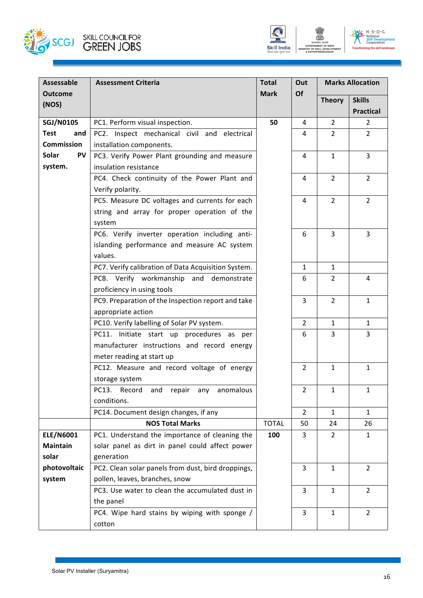





| <b>Assessable</b>         | <b>Assessment Criteria</b>                                                           | <b>Total</b> | Out            |                | <b>Marks Allocation</b>        |              |  |  |  |  |
|---------------------------|--------------------------------------------------------------------------------------|--------------|----------------|----------------|--------------------------------|--------------|--|--|--|--|
| <b>Outcome</b>            |                                                                                      | <b>Mark</b>  | Of             | <b>Theory</b>  | <b>Skills</b>                  |              |  |  |  |  |
| (NOS)                     |                                                                                      |              |                |                | <b>Practical</b>               |              |  |  |  |  |
| <b>SGJ/N0105</b>          | PC1. Perform visual inspection.                                                      | 50           | 4              | $\overline{2}$ | 2                              |              |  |  |  |  |
| <b>Test</b><br>and        | PC2. Inspect mechanical civil and electrical                                         |              | 4              | $\overline{2}$ | $\overline{2}$                 |              |  |  |  |  |
| <b>Commission</b>         | installation components.                                                             |              |                |                |                                |              |  |  |  |  |
| <b>Solar</b><br><b>PV</b> | PC3. Verify Power Plant grounding and measure                                        |              | 4              | $\mathbf{1}$   | $\overline{3}$                 |              |  |  |  |  |
| system.                   | insulation resistance                                                                |              |                |                |                                |              |  |  |  |  |
|                           | PC4. Check continuity of the Power Plant and                                         |              | 4              | $\overline{2}$ | $\overline{2}$                 |              |  |  |  |  |
|                           | Verify polarity.                                                                     |              |                |                |                                |              |  |  |  |  |
|                           | PC5. Measure DC voltages and currents for each                                       |              | 4              | $\overline{2}$ | $\overline{2}$                 |              |  |  |  |  |
|                           | string and array for proper operation of the                                         |              |                |                |                                |              |  |  |  |  |
|                           | system                                                                               |              |                |                |                                |              |  |  |  |  |
|                           | PC6. Verify inverter operation including anti-                                       |              | 6              | 3              | $\overline{3}$                 |              |  |  |  |  |
|                           | islanding performance and measure AC system                                          |              |                |                |                                |              |  |  |  |  |
|                           | values.                                                                              |              |                |                |                                |              |  |  |  |  |
|                           | PC7. Verify calibration of Data Acquisition System.                                  |              | 1              | 1              |                                |              |  |  |  |  |
|                           | PC8. Verify workmanship and demonstrate                                              |              | 6              | $\overline{2}$ | 4                              |              |  |  |  |  |
|                           | proficiency in using tools                                                           |              |                |                |                                |              |  |  |  |  |
|                           | PC9. Preparation of the Inspection report and take                                   |              | 3              | $\overline{2}$ | $\mathbf{1}$                   |              |  |  |  |  |
|                           | appropriate action                                                                   |              |                |                |                                |              |  |  |  |  |
|                           | PC10. Verify labelling of Solar PV system.                                           |              | $\overline{2}$ | $\mathbf{1}$   | $\mathbf{1}$                   |              |  |  |  |  |
|                           | PC11. Initiate start up procedures as per                                            |              | 6              | 3              | 3                              |              |  |  |  |  |
|                           | manufacturer instructions and record energy                                          |              |                |                |                                |              |  |  |  |  |
|                           | meter reading at start up                                                            |              |                |                |                                |              |  |  |  |  |
|                           | PC12. Measure and record voltage of energy                                           |              | $\overline{2}$ | $\mathbf{1}$   | $\mathbf{1}$                   |              |  |  |  |  |
|                           | storage system                                                                       |              |                |                |                                |              |  |  |  |  |
|                           | PC13.<br>anomalous<br>Record<br>and<br>repair<br>any                                 |              |                |                | $\overline{2}$<br>$\mathbf{1}$ | $\mathbf{1}$ |  |  |  |  |
|                           | conditions.                                                                          |              |                |                |                                |              |  |  |  |  |
|                           | PC14. Document design changes, if any                                                |              | $\overline{2}$ | $\mathbf{1}$   | $\mathbf{1}$                   |              |  |  |  |  |
|                           | <b>NOS Total Marks</b>                                                               | <b>TOTAL</b> | 50             | 24             | 26                             |              |  |  |  |  |
| <b>ELE/N6001</b>          | PC1. Understand the importance of cleaning the                                       | 100          | 3              | $\overline{2}$ | 1                              |              |  |  |  |  |
| <b>Maintain</b><br>solar  | solar panel as dirt in panel could affect power                                      |              |                |                |                                |              |  |  |  |  |
|                           | generation                                                                           |              |                |                |                                |              |  |  |  |  |
| photovoltaic<br>system    | PC2. Clean solar panels from dust, bird droppings,<br>pollen, leaves, branches, snow |              | 3              | $\mathbf{1}$   | $\overline{2}$                 |              |  |  |  |  |
|                           | PC3. Use water to clean the accumulated dust in                                      |              | 3              | $\mathbf{1}$   | $\overline{2}$                 |              |  |  |  |  |
|                           | the panel                                                                            |              |                |                |                                |              |  |  |  |  |
|                           | PC4. Wipe hard stains by wiping with sponge /                                        |              | 3              | $\mathbf{1}$   | $\overline{2}$                 |              |  |  |  |  |
|                           | cotton                                                                               |              |                |                |                                |              |  |  |  |  |
|                           |                                                                                      |              |                |                |                                |              |  |  |  |  |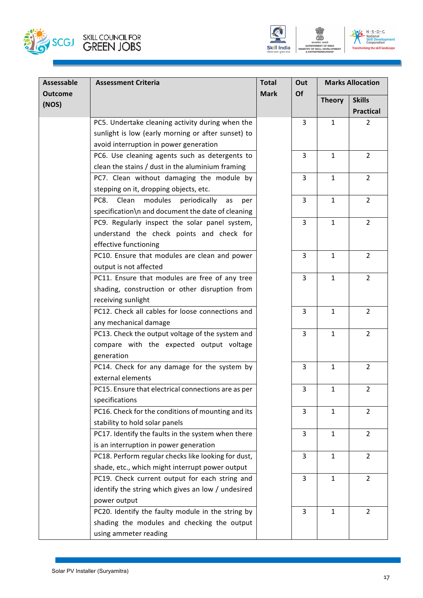



| <b>Assessable</b>       | <b>Assessment Criteria</b>                            | <b>Total</b> | Out<br><b>Marks Allocation</b> |               |                  |
|-------------------------|-------------------------------------------------------|--------------|--------------------------------|---------------|------------------|
| <b>Outcome</b><br>(NOS) |                                                       | <b>Mark</b>  | Of                             | <b>Theory</b> | <b>Skills</b>    |
|                         |                                                       |              |                                |               | <b>Practical</b> |
|                         | PC5. Undertake cleaning activity during when the      |              | 3                              | $\mathbf{1}$  | $\overline{2}$   |
|                         | sunlight is low (early morning or after sunset) to    |              |                                |               |                  |
|                         | avoid interruption in power generation                |              |                                |               |                  |
|                         | PC6. Use cleaning agents such as detergents to        |              | 3                              | $\mathbf{1}$  | $\overline{2}$   |
|                         | clean the stains / dust in the aluminium framing      |              |                                |               |                  |
|                         | PC7. Clean without damaging the module by             |              | 3                              | $\mathbf{1}$  | $\overline{2}$   |
|                         | stepping on it, dropping objects, etc.                |              |                                |               |                  |
|                         | PC8.<br>Clean<br>modules<br>periodically<br>as<br>per |              | 3                              | $\mathbf{1}$  | $\overline{2}$   |
|                         | specification\n and document the date of cleaning     |              |                                |               |                  |
|                         | PC9. Regularly inspect the solar panel system,        |              | $\overline{3}$                 | $\mathbf{1}$  | $\overline{2}$   |
|                         | understand the check points and check for             |              |                                |               |                  |
|                         | effective functioning                                 |              |                                |               |                  |
|                         | PC10. Ensure that modules are clean and power         |              | 3                              | $\mathbf{1}$  | $\overline{2}$   |
|                         | output is not affected                                |              |                                |               |                  |
|                         | PC11. Ensure that modules are free of any tree        |              | 3                              | $\mathbf{1}$  | $\overline{2}$   |
|                         | shading, construction or other disruption from        |              |                                |               |                  |
|                         | receiving sunlight                                    |              |                                |               |                  |
|                         | PC12. Check all cables for loose connections and      |              | 3                              | $\mathbf{1}$  | $\overline{2}$   |
|                         | any mechanical damage                                 |              |                                |               |                  |
|                         | PC13. Check the output voltage of the system and      |              | $\overline{3}$                 | $\mathbf{1}$  | $\overline{2}$   |
|                         | compare with the expected output voltage              |              |                                |               |                  |
|                         | generation                                            |              |                                |               |                  |
|                         | PC14. Check for any damage for the system by          |              | 3                              | $\mathbf{1}$  | $\overline{2}$   |
|                         | external elements                                     |              |                                |               |                  |
|                         | PC15. Ensure that electrical connections are as per   |              | 3                              | 1             | $\overline{2}$   |
|                         | specifications                                        |              |                                |               |                  |
|                         | PC16. Check for the conditions of mounting and its    |              | 3                              | $\mathbf{1}$  | $\overline{2}$   |
|                         | stability to hold solar panels                        |              |                                |               |                  |
|                         | PC17. Identify the faults in the system when there    |              | 3                              | $\mathbf{1}$  | $\overline{2}$   |
|                         | is an interruption in power generation                |              |                                |               |                  |
|                         | PC18. Perform regular checks like looking for dust,   |              | 3                              | $\mathbf{1}$  | $\overline{2}$   |
|                         | shade, etc., which might interrupt power output       |              |                                |               |                  |
|                         | PC19. Check current output for each string and        |              | 3                              | $\mathbf{1}$  | 2                |
|                         | identify the string which gives an low / undesired    |              |                                |               |                  |
|                         | power output                                          |              |                                |               |                  |
|                         | PC20. Identify the faulty module in the string by     |              | 3                              | $\mathbf{1}$  | $\overline{2}$   |
|                         | shading the modules and checking the output           |              |                                |               |                  |
|                         | using ammeter reading                                 |              |                                |               |                  |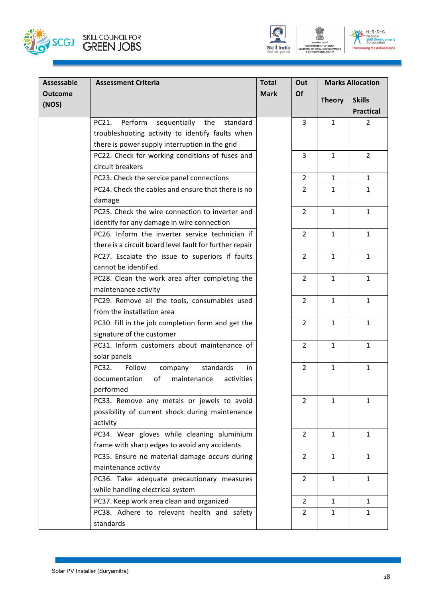



| Assessable     | <b>Assessment Criteria</b>                              | <b>Total</b> | Out            | <b>Marks Allocation</b> |                  |  |
|----------------|---------------------------------------------------------|--------------|----------------|-------------------------|------------------|--|
| <b>Outcome</b> |                                                         | <b>Mark</b>  | Of             | <b>Theory</b>           | <b>Skills</b>    |  |
| (NOS)          |                                                         |              |                |                         | <b>Practical</b> |  |
|                | Perform<br>sequentially<br>PC21.<br>the<br>standard     |              | $\overline{3}$ | $\mathbf{1}$            | $\overline{2}$   |  |
|                | troubleshooting activity to identify faults when        |              |                |                         |                  |  |
|                | there is power supply interruption in the grid          |              |                |                         |                  |  |
|                | PC22. Check for working conditions of fuses and         |              | 3              | $\mathbf{1}$            | $\overline{2}$   |  |
|                | circuit breakers                                        |              |                |                         |                  |  |
|                | PC23. Check the service panel connections               |              | $\overline{2}$ | $\mathbf{1}$            | $\mathbf{1}$     |  |
|                | PC24. Check the cables and ensure that there is no      |              | $\overline{2}$ | 1                       | $\mathbf{1}$     |  |
|                | damage                                                  |              |                |                         |                  |  |
|                | PC25. Check the wire connection to inverter and         |              | 2              | $\mathbf{1}$            | $\mathbf{1}$     |  |
|                | identify for any damage in wire connection              |              |                |                         |                  |  |
|                | PC26. Inform the inverter service technician if         |              | $\overline{2}$ | $\mathbf{1}$            | $\mathbf{1}$     |  |
|                | there is a circuit board level fault for further repair |              |                |                         |                  |  |
|                | PC27. Escalate the issue to superiors if faults         |              | $\overline{2}$ | $\mathbf{1}$            | $\mathbf{1}$     |  |
|                | cannot be identified                                    |              |                |                         |                  |  |
|                | PC28. Clean the work area after completing the          |              | $\overline{2}$ | $\mathbf{1}$            | $\mathbf{1}$     |  |
|                | maintenance activity                                    |              |                |                         |                  |  |
|                | PC29. Remove all the tools, consumables used            |              | $\overline{2}$ | $\mathbf{1}$            | $\mathbf{1}$     |  |
|                | from the installation area                              |              |                |                         |                  |  |
|                | PC30. Fill in the job completion form and get the       |              | $\overline{2}$ | $\mathbf{1}$            | $\mathbf{1}$     |  |
|                | signature of the customer                               |              |                |                         |                  |  |
|                | PC31. Inform customers about maintenance of             |              | $\overline{2}$ | $\mathbf{1}$            | $\mathbf{1}$     |  |
|                | solar panels                                            |              |                |                         |                  |  |
|                | Follow<br>PC32.<br>standards<br>in<br>company           |              | 2              | $\mathbf{1}$            | $\mathbf{1}$     |  |
|                | documentation<br>of<br>maintenance<br>activities        |              |                |                         |                  |  |
|                | performed                                               |              |                |                         |                  |  |
|                | PC33. Remove any metals or jewels to avoid              |              | $\overline{2}$ | $\mathbf{1}$            | $\mathbf{1}$     |  |
|                | possibility of current shock during maintenance         |              |                |                         |                  |  |
|                | activity                                                |              |                |                         |                  |  |
|                | PC34. Wear gloves while cleaning aluminium              |              | $\overline{2}$ | $\mathbf{1}$            | 1                |  |
|                | frame with sharp edges to avoid any accidents           |              |                |                         |                  |  |
|                | PC35. Ensure no material damage occurs during           |              | $\overline{2}$ | $\mathbf{1}$            | $\mathbf{1}$     |  |
|                | maintenance activity                                    |              |                |                         |                  |  |
|                | PC36. Take adequate precautionary measures              |              | $\overline{2}$ | $\mathbf{1}$            | $\mathbf{1}$     |  |
|                | while handling electrical system                        |              |                |                         |                  |  |
|                | PC37. Keep work area clean and organized                |              | $\overline{2}$ | $\mathbf{1}$            | $\mathbf{1}$     |  |
|                | PC38. Adhere to relevant health and safety              |              | 2              | 1                       | 1                |  |
|                | standards                                               |              |                |                         |                  |  |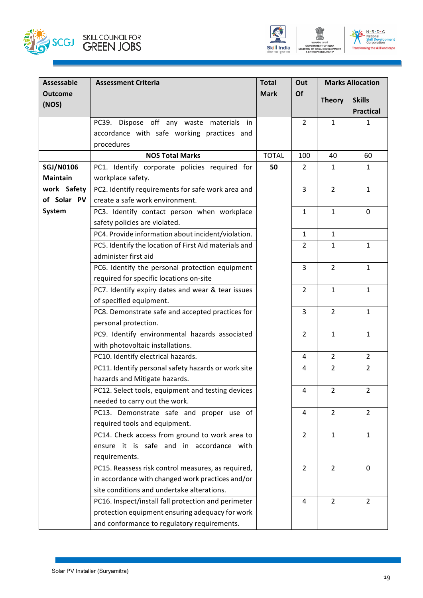



| Assessable       | <b>Assessment Criteria</b>                            | <b>Total</b> | Out            |                | <b>Marks Allocation</b> |
|------------------|-------------------------------------------------------|--------------|----------------|----------------|-------------------------|
| <b>Outcome</b>   |                                                       | <b>Mark</b>  | <b>Of</b>      | <b>Theory</b>  | <b>Skills</b>           |
| (NOS)            |                                                       |              |                |                | <b>Practical</b>        |
|                  | PC39. Dispose off any waste materials in              |              | $\overline{2}$ | 1              | 1                       |
|                  | accordance with safe working practices and            |              |                |                |                         |
|                  | procedures                                            |              |                |                |                         |
|                  | <b>NOS Total Marks</b>                                | <b>TOTAL</b> | 100            | 40             | 60                      |
| <b>SGJ/N0106</b> | PC1. Identify corporate policies required for         | 50           | 2              | 1              | 1                       |
| <b>Maintain</b>  | workplace safety.                                     |              |                |                |                         |
| work Safety      | PC2. Identify requirements for safe work area and     |              | $\overline{3}$ | $\overline{2}$ | $\mathbf{1}$            |
| of Solar PV      | create a safe work environment.                       |              |                |                |                         |
| System           | PC3. Identify contact person when workplace           |              | $\mathbf{1}$   | $\mathbf{1}$   | $\mathbf 0$             |
|                  | safety policies are violated.                         |              |                |                |                         |
|                  | PC4. Provide information about incident/violation.    |              | $\mathbf{1}$   | $\mathbf{1}$   |                         |
|                  | PC5. Identify the location of First Aid materials and |              | $\overline{2}$ | $\mathbf{1}$   | $\mathbf{1}$            |
|                  | administer first aid                                  |              |                |                |                         |
|                  | PC6. Identify the personal protection equipment       |              | $\mathsf{3}$   | $\overline{2}$ | $\mathbf{1}$            |
|                  | required for specific locations on-site               |              |                |                |                         |
|                  | PC7. Identify expiry dates and wear & tear issues     |              | $\overline{2}$ | $\mathbf{1}$   | $\mathbf{1}$            |
|                  | of specified equipment.                               |              |                |                |                         |
|                  | PC8. Demonstrate safe and accepted practices for      |              | 3              | $\overline{2}$ | $\mathbf{1}$            |
|                  | personal protection.                                  |              |                |                |                         |
|                  | PC9. Identify environmental hazards associated        |              | $\overline{2}$ | $\mathbf{1}$   | $\mathbf{1}$            |
|                  | with photovoltaic installations.                      |              |                |                |                         |
|                  | PC10. Identify electrical hazards.                    |              | 4              | $\overline{2}$ | $\overline{2}$          |
|                  | PC11. Identify personal safety hazards or work site   |              | 4              | $\overline{2}$ | $\overline{2}$          |
|                  | hazards and Mitigate hazards.                         |              |                |                |                         |
|                  | PC12. Select tools, equipment and testing devices     |              | 4              | $\mathfrak{D}$ | $\mathcal{L}$           |
|                  | needed to carry out the work.                         |              |                |                |                         |
|                  | PC13. Demonstrate safe and proper use of              |              | $\overline{4}$ | $\overline{2}$ | $\overline{2}$          |
|                  | required tools and equipment.                         |              |                |                |                         |
|                  | PC14. Check access from ground to work area to        |              | $\overline{2}$ | $\mathbf{1}$   | $\mathbf{1}$            |
|                  | ensure it is safe and in accordance with              |              |                |                |                         |
|                  | requirements.                                         |              |                |                |                         |
|                  | PC15. Reassess risk control measures, as required,    |              | $\overline{2}$ | $\overline{2}$ | $\mathbf{0}$            |
|                  | in accordance with changed work practices and/or      |              |                |                |                         |
|                  | site conditions and undertake alterations.            |              |                |                |                         |
|                  | PC16. Inspect/install fall protection and perimeter   |              | 4              | $\overline{2}$ | $\overline{2}$          |
|                  | protection equipment ensuring adequacy for work       |              |                |                |                         |
|                  | and conformance to regulatory requirements.           |              |                |                |                         |